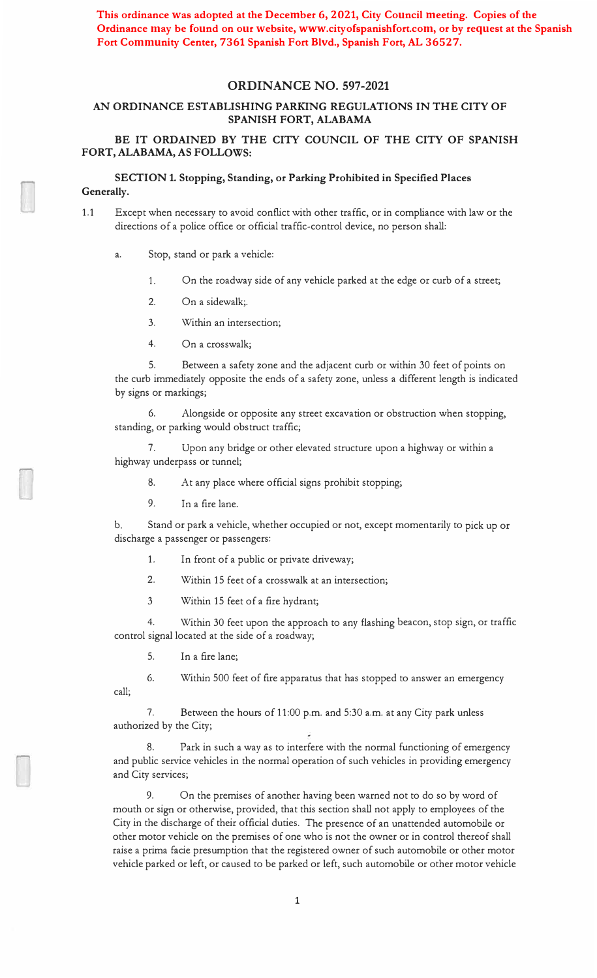**This ordinance was adopted at the December 6, 2021, City Council meeting. Copies of the**  Ordinance may be found on our website, www.cityofspanishfort.com, or by request at the Spanish **Fort Community Center, 7361 Spanish Fort Blvd., Spanish Fort, AL 36527.**

### **ORDINANCE NO. 597-2021**

## **AN ORDINANCE ESTABLISHING PARKING REGULATIONS IN THE CITY OF SPANISH FORT, ALABAMA**

### **BE IT ORDAINED BY THE CITY COUNCIL OF THE CITY OF SPANISH FORT, ALABAMA, AS FOLLOWS:**

### **SECTION 1. Stopping, Standing, or Parking Prohibited in Specified Places Generally.**

- 1.1 Except when necessary to avoid conflict with other traffic, or in compliance with law or the directions of a police office or official traffic-control device, no person shall:
	- a. Stop, stand or park a vehicle:
		- 1.On the roadway side of any vehicle parked at the edge or curb of a street;
		- $\mathfrak{D}$ On a sidewalk;.
		- 3. Within an intersection;
		- 4. On a crosswalk;

5. Between a safety zone and the adjacent curb or within 30 feet of points on the curb immediately opposite the ends of a safety zone, unless a different length is indicated by signs or markings;

6. Alongside or opposite any street excavation or obstruction when stopping, standing, or parking would obstruct traffic;

7. Upon any bridge or other elevated structure upon a highway or within a highway underpass or tunnel;

- 8. At any place where official signs prohibit stopping;
- 9. In a fire lane.

b. Stand or park a vehicle, whether occupied or not, except momentarily to pick up or discharge a passenger or passengers:

- 1.In front of a public or private driveway;
- 2.Within 15 feet of a crosswalk at an intersection;
- 3 Within 15 feet of a fire hydrant;

4. Within 30 feet upon the approach to any flashing beacon, stop sign, or traffic control signal located at the side of a roadway;

5.In a fire lane;

6. Within 500 feet of fire apparatus that has stopped to answer an emergency call;

7. Between the hours of 11:00 p.m. and 5:30 a.m. at any City park unless authorized by the City;

8. Park in such a way as to interfere with the normal functioning of emergency and public service vehicles in the normal operation of such vehicles in providing emergency and City services;

9. On the premises of another having been warned not to do so by word of mouth or sign or otherwise, provided, that this section shall not apply to employees of the City in the discharge of their official duties. The presence of an unattended automobile or other motor vehicle on the premises of one who is not the owner or in control thereof shall raise a prima facie presumption that the registered owner of such automobile or other motor vehicle parked or left, or caused to be parked or left, such automobile or other motor vehicle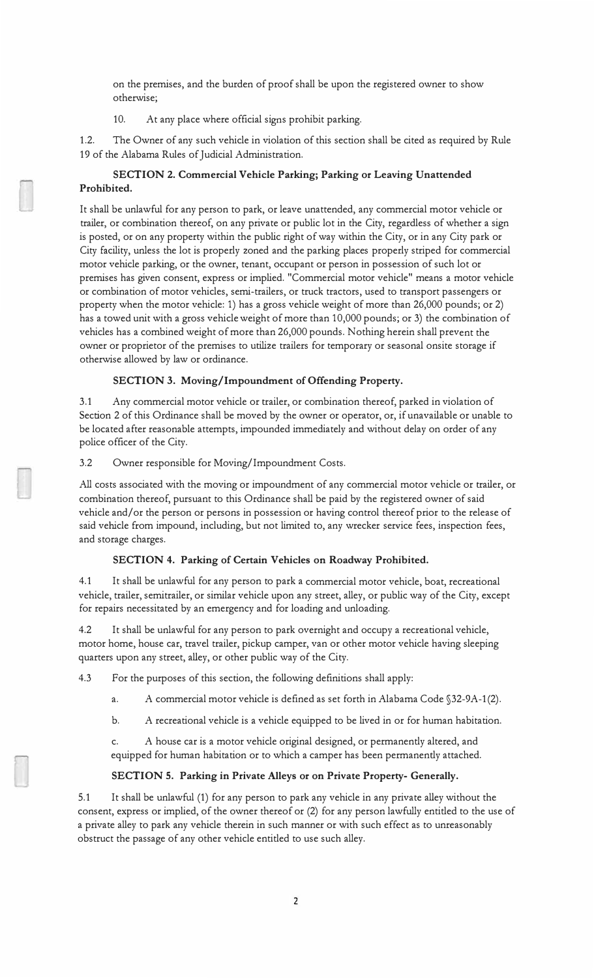on the premises, and the burden of proof shall be upon the registered owner to show otherwise;

10. At any place where official signs prohibit parking.

1.2. The Owner of any such vehicle in violation of this section shall be cited as required by Rule 19 of the Alabama Rules of Judicial Administration.

# **SECTION 2. Commercial Vehicle Parking; Parking or Leaving Unattended Prohibited.**

It shall be unlawful for any person to park, or leave unattended, any commercial motor vehicle or trailer, or combination thereof, on any private or public lot in the City, regardless of whether a sign is posted, or on any property within the public right of way within the City, or in any City park or City facility, unless the lot is properly zoned and the parking places properly striped for commercial motor vehicle parking, or the owner, tenant, occupant or person in possession of such lot or premises has given consent, express or implied. "Commercial motor vehicle" means a motor vehicle or combination of motor vehicles, semi-trailers, or truck tractors, used to transport passengers or property when the motor vehicle: 1) has a gross vehicle weight of more than 26,000 pounds; or 2) has a towed unit with a gross vehicle weight of more than 10,000 pounds; or 3) the combination of vehicles has a combined weight of more than 26,000 pounds. Nothing herein shall prevent the owner or proprietor of the premises to utilize trailers for temporary or seasonal onsite storage if otherwise allowed by law or ordinance.

## **SECTION 3. Moving/Impoundment of Offending Property.**

3.1 Any commercial motor vehicle or trailer, or combination thereof, parked in violation of Section 2 of this Ordinance shall be moved by the owner or operator, or, if unavailable or unable to be located after reasonable attempts, impounded immediately and without delay on order of any police officer of the City.

3.2 Owner responsible for Moving/Impoundment Costs.

All costs associated with the moving or impoundment of any commercial motor vehicle or trailer, or combination thereof, pursuant to this Ordinance shall be paid by the registered owner of said vehicle and/ or the person or persons in possession or having control thereof prior to the release of said vehicle from impound, including, but not limited to, any wrecker service fees, inspection fees, and storage charges.

## **SECTION 4. Parking of Certain Vehicles on Roadway Prohibited.**

4.1 It shall be unlawful for any person to park a commercial motor vehicle, boat, recreational vehicle, trailer, semitrailer, or similar vehicle upon any street, alley, or public way of the City, except for repairs necessitated by an emergency and for loading and unloading.

4.2 It shall be unlawful for any person to park overnight and occupy a recreational vehicle, motor home, house car, travel trailer, pickup camper, van or other motor vehicle having sleeping quarters upon any street, alley, or other public way of the City.

4.3 For the purposes of this section, the following definitions shall apply:

a.A commercial motor vehicle is defined as set forth in Alabama Code §32-9A-1(2).

b. A recreational vehicle is a vehicle equipped to be lived in or for human habitation.

c. A house car is a motor vehicle original designed, or permanently altered, and equipped for human habitation or to which a camper has been permanently attached.

## **SECTION 5. Parking in Private Alleys or on Private Property- Generally.**

5.1 It shall be unlawful (1) for any person to park any vehicle in any private alley without the consent, express or implied, of the owner thereof or (2) for any person lawfully entitled to the use of a private alley to park any vehicle therein in such manner or with such effect as to unreasonably obstruct the passage of any other vehicle entitled to use such alley.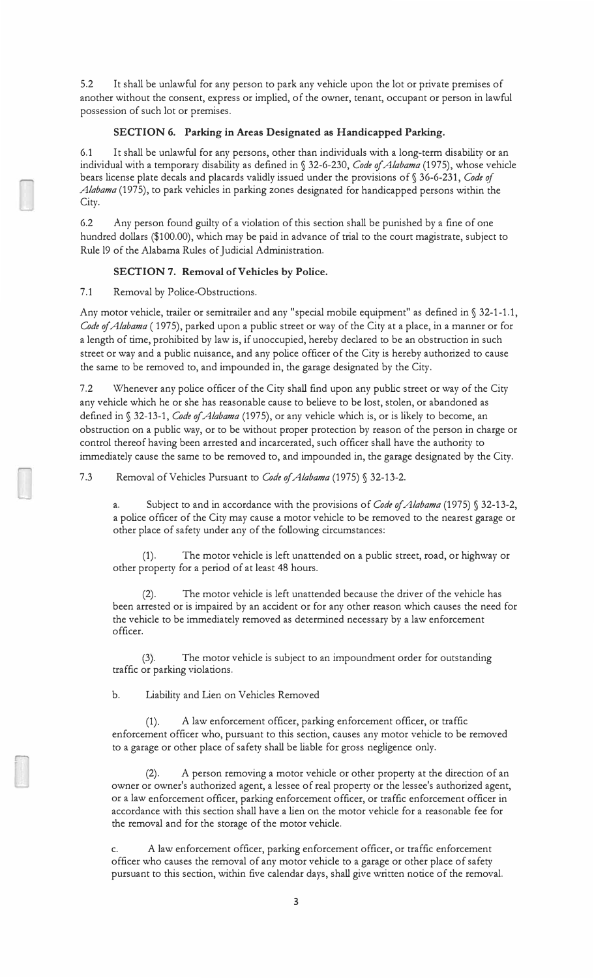5.2 It shall be unlawful for any person to park any vehicle upon the lot or private premises of another without the consent, express or implied, of the owner, tenant, occupant or person in lawful possession of such lot or premises.

### **SECTION 6. Parking in Areas Designated as Handicapped Parking.**

6.1 It shall be unlawful for any persons, other than individuals with a long-term disability or an individual with a temporary disability as defined in § 32-6-230, *Code of Alabama* (1975), whose vehicle bears license plate decals and placards validly issued under the provisions of§ 36-6-231, *Code of Alabama* (1975), to park vehicles in parking zones designated for handicapped persons within the City.

6.2 Any person found guilty of a violation of this section shall be punished by a fine of one hundred dollars (\$100.00), which may be paid in advance of trial to the court magistrate, subject to Rule 19 of the Alabama Rules of Judicial Administration.

### **SECTION 7. Removal of Vehicles by Police.**

7.1 Removal by Police-Obstructions.

Any motor vehicle, trailer or semitrailer and any "special mobile equipment" as defined in § 32-1-1.1, *Code of Alabama* ( 1975), parked upon a public street or way of the City at a place, in a manner or for a length of time, prohibited by law is, if unoccupied, hereby declared to be an obstruction in such street or way and a public nuisance, and any police officer of the City is hereby authorized to cause the same to be removed to, and impounded in, the garage designated by the City.

7.2 Whenever any police officer of the City shall find upon any public street or way of the City any vehicle which he or she has reasonable cause to believe to be lost, stolen, or abandoned as defined in§ 32-13-1, *Code of Alabama* (1975), or any vehicle which is, or is likely to become, an obstruction on a public way, or to be without proper protection by reason of the person in charge or control thereof having been arrested and incarcerated, such officer shall have the authority to immediately cause the same to be removed to, and impounded in, the garage designated by the City.

7.3 Removal of Vehicles Pursuant to *Code of Alabama* (1975) § 32-13-2.

a.Subject to and in accordance with the provisions of *Code of Alabama* (1975) § 32-13-2, a police officer of the City may cause a motor vehicle to be removed to the nearest garage or other place of safety under any of the following circumstances:

(1). The motor vehicle is left unattended on a public street, road, or highway or other property for a period of at least 48 hours.

(2). The motor vehicle is left unattended because the driver of the vehicle has been arrested or is impaired by an accident or for any other reason which causes the need for the vehicle to be immediately removed as determined necessary by a law enforcement officer.

(3). The motor vehicle is subject to an impoundment order for outstanding traffic or parking violations.

b. Liability and Lien on Vehicles Removed

(1). A law enforcement officer, parking enforcement officer, or traffic enforcement officer who, pursuant to this section, causes any motor vehicle to be removed to a garage or other place of safety shall be liable for gross negligence only.

A person removing a motor vehicle or other property at the direction of an owner or owner's authorized agent, a lessee of real property or the lessee's authorized agent, or a law enforcement officer, parking enforcement officer, or traffic enforcement officer in accordance with this section shall have a lien on the motor vehicle for a reasonable fee for the removal and for the storage of the motor vehicle.

A law enforcement officer, parking enforcement officer, or traffic enforcement officer who causes the removal of any motor vehicle to a garage or other place of safety pursuant to this section, within five calendar days, shall give written notice of the removal.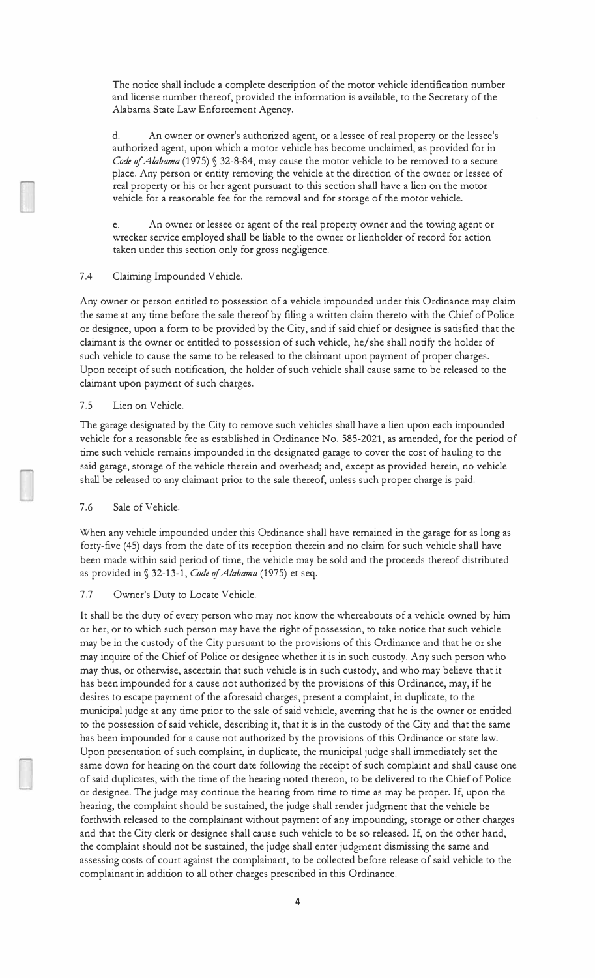The notice shall include a complete description of the motor vehicle identification number and license number thereof, provided the information is available, to the Secretary of the Alabama State Law Enforcement Agency.

d. An owner or owner's authorized agent, or a lessee of real property or the lessee's authorized agent, upon which a motor vehicle has become unclaimed, as provided for in *Code of Alabama* (1975) § 32-8-84, may cause the motor vehicle to be removed to a secure place. Any person or entity removing the vehicle at the direction of the owner or lessee of real property or his or her agent pursuant to this section shall have a lien on the motor vehicle for a reasonable fee for the removal and for storage of the motor vehicle.

e. An owner or lessee or agent of the real property owner and the towing agent or wrecker service employed shall be liable to the owner or lienholder of record for action taken under this section only for gross negligence.

### 7.4 Claiming Impounded Vehicle.

Any owner or person entitled to possession of a vehicle impounded under this Ordinance may claim the same at any time before the sale thereof by filing a written claim thereto with the Chief of Police or designee, upon a form to be provided by the City, and if said chief or designee is satisfied that the claimant is the owner or entitled to possession of such vehicle, he/ she shall notify the holder of such vehicle to cause the same to be released to the claimant upon payment of proper charges. Upon receipt of such notification, the holder of such vehicle shall cause same to be released to the claimant upon payment of such charges.

#### 7.5 Lien on Vehicle.

The garage designated by the City to remove such vehicles shall have a lien upon each impounded vehicle for a reasonable fee as established in Ordinance No. 585-2021, as amended, for the period of time such vehicle remains impounded in the designated garage to cover the cost of hauling to the said garage, storage of the vehicle therein and overhead; and, except as provided herein, no vehicle shall be released to any claimant prior to the sale thereof, unless such proper charge is paid.

#### 7.6 Sale of Vehicle.

When any vehicle impounded under this Ordinance shall have remained in the garage for as long as forty-five (45) days from the date of its reception therein and no claim for such vehicle shall have been made within said period of time, the vehicle may be sold and the proceeds thereof distributed as provided in § 32-13-1, *Code of Alabama* (197 5) et seq.

#### 7.7 Owner's Duty to Locate Vehicle.

It shall be the duty of every person who may not know the whereabouts of a vehicle owned by him or her, or to which such person may have the right of possession, to take notice that such vehicle may be in the custody of the City pursuant to the provisions of this Ordinance and that he or she may inquire of the Chief of Police or designee whether it is in such custody. Any such person who may thus, or otherwise, ascertain that such vehicle is in such custody, and who may believe that it has been impounded for a cause not authorized by the provisions of this Ordinance, may, if he desires to escape payment of the aforesaid charges, present a complaint, in duplicate, to the municipal judge at any time prior to the sale of said vehicle, averring that he is the owner or entitled to the possession of said vehicle, describing it, that it is in the custody of the City and that the same has been impounded for a cause not authorized by the provisions of this Ordinance or state law. Upon presentation of such complaint, in duplicate, the municipal judge shall immediately set the same down for hearing on the court date following the receipt of such complaint and shall cause one of said duplicates, with the time of the hearing noted thereon, to be delivered to the Chief of Police or designee. The judge may continue the hearing from time to time as may be proper. If, upon the hearing, the complaint should be sustained, the judge shall render judgment that the vehicle be forthwith released to the complainant without payment of any impounding, storage or other charges and that the City clerk or designee shall cause such vehicle to be so released. If, on the other hand, the complaint should not be sustained, the judge shall enter judgment dismissing the same and assessing costs of court against the complainant, to be collected before release of said vehicle to the complainant in addition to all other charges prescribed in this Ordinance.